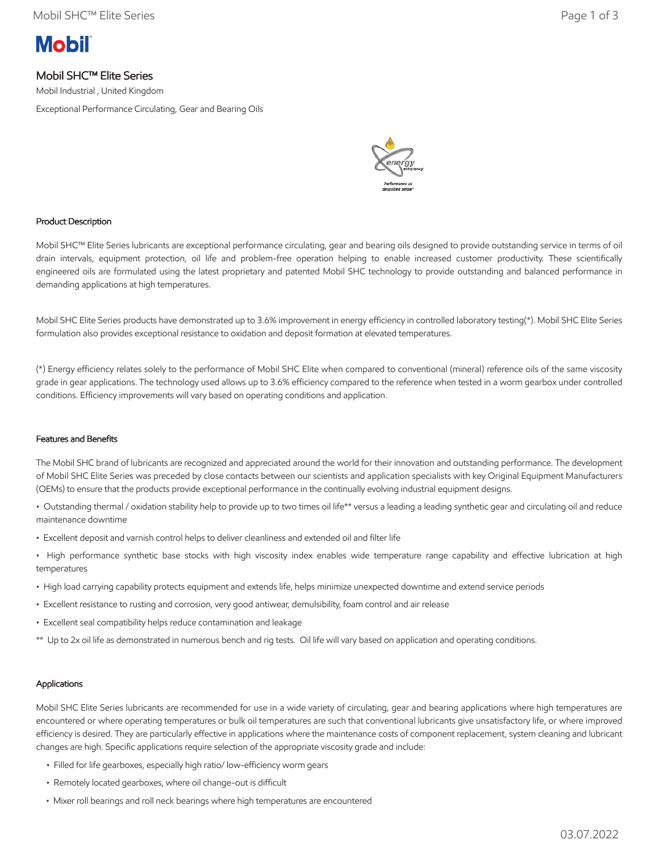# **Mobil**

## Mobil SHC™ Elite Series

Mobil Industrial , United Kingdom

Exceptional Performance Circulating, Gear and Bearing Oils



## Product Description

Mobil SHC™ Elite Series lubricants are exceptional performance circulating, gear and bearing oils designed to provide outstanding service in terms of oil drain intervals, equipment protection, oil life and problem-free operation helping to enable increased customer productivity. These scientifically engineered oils are formulated using the latest proprietary and patented Mobil SHC technology to provide outstanding and balanced performance in demanding applications at high temperatures.

Mobil SHC Elite Series products have demonstrated up to 3.6% improvement in energy efficiency in controlled laboratory testing(\*). Mobil SHC Elite Series formulation also provides exceptional resistance to oxidation and deposit formation at elevated temperatures.

(\*) Energy efficiency relates solely to the performance of Mobil SHC Elite when compared to conventional (mineral) reference oils of the same viscosity grade in gear applications. The technology used allows up to 3.6% efficiency compared to the reference when tested in a worm gearbox under controlled conditions. Efficiency improvements will vary based on operating conditions and application.

#### Features and Benefits

The Mobil SHC brand of lubricants are recognized and appreciated around the world for their innovation and outstanding performance. The development of Mobil SHC Elite Series was preceded by close contacts between our scientists and application specialists with key Original Equipment Manufacturers (OEMs) to ensure that the products provide exceptional performance in the continually evolving industrial equipment designs.

• Outstanding thermal / oxidation stability help to provide up to two times oil life\*\* versus a leading a leading synthetic gear and circulating oil and reduce maintenance downtime

- Excellent deposit and varnish control helps to deliver cleanliness and extended oil and filter life
- High performance synthetic base stocks with high viscosity index enables wide temperature range capability and effective lubrication at high temperatures
- High load carrying capability protects equipment and extends life, helps minimize unexpected downtime and extend service periods
- Excellent resistance to rusting and corrosion, very good antiwear, demulsibility, foam control and air release
- Excellent seal compatibility helps reduce contamination and leakage
- \*\* Up to 2x oil life as demonstrated in numerous bench and rig tests. Oil life will vary based on application and operating conditions.

#### Applications

Mobil SHC Elite Series lubricants are recommended for use in a wide variety of circulating, gear and bearing applications where high temperatures are encountered or where operating temperatures or bulk oil temperatures are such that conventional lubricants give unsatisfactory life, or where improved efficiency is desired. They are particularly effective in applications where the maintenance costs of component replacement, system cleaning and lubricant changes are high. Specific applications require selection of the appropriate viscosity grade and include:

- Filled for life gearboxes, especially high ratio/ low-efficiency worm gears
- Remotely located gearboxes, where oil change-out is difficult
- Mixer roll bearings and roll neck bearings where high temperatures are encountered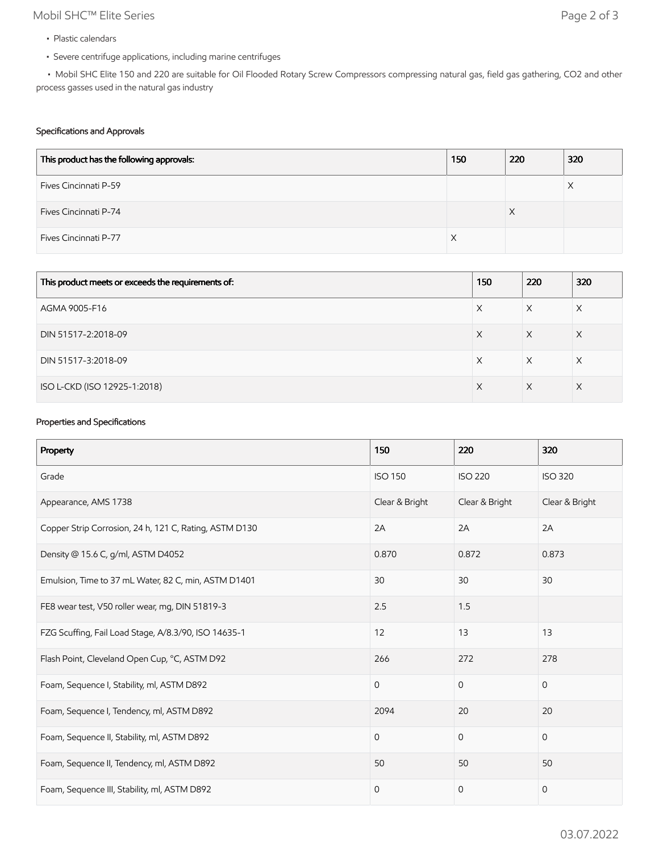# Mobil SHC™ Elite Series Page 2 of 3

- Plastic calendars
- Severe centrifuge applications, including marine centrifuges

 • Mobil SHC Elite 150 and 220 are suitable for Oil Flooded Rotary Screw Compressors compressing natural gas, field gas gathering, CO2 and other process gasses used in the natural gas industry

#### Specifications and Approvals

| This product has the following approvals: | 150 | 220 | 320 |
|-------------------------------------------|-----|-----|-----|
| Fives Cincinnati P-59                     |     |     | Х   |
| Fives Cincinnati P-74                     |     | X   |     |
| Fives Cincinnati P-77                     |     |     |     |

| This product meets or exceeds the requirements of: | 150 | 220 | 320 |
|----------------------------------------------------|-----|-----|-----|
| AGMA 9005-F16                                      | Х   | X   | X   |
| DIN 51517-2:2018-09                                | X   | X   | Χ   |
| DIN 51517-3:2018-09                                | Х   | X   | X   |
| ISO L-CKD (ISO 12925-1:2018)                       | X   | X   | X   |

## Properties and Specifications

| Property                                               | 150            | 220            | 320            |
|--------------------------------------------------------|----------------|----------------|----------------|
| Grade                                                  | <b>ISO 150</b> | <b>ISO 220</b> | <b>ISO 320</b> |
| Appearance, AMS 1738                                   | Clear & Bright | Clear & Bright | Clear & Bright |
| Copper Strip Corrosion, 24 h, 121 C, Rating, ASTM D130 | 2A             | 2A             | 2A             |
| Density @ 15.6 C, g/ml, ASTM D4052                     | 0.870          | 0.872          | 0.873          |
| Emulsion, Time to 37 mL Water, 82 C, min, ASTM D1401   | 30             | 30             | 30             |
| FE8 wear test, V50 roller wear, mg, DIN 51819-3        | 2.5            | 1.5            |                |
| FZG Scuffing, Fail Load Stage, A/8.3/90, ISO 14635-1   | 12             | 13             | 13             |
| Flash Point, Cleveland Open Cup, °C, ASTM D92          | 266            | 272            | 278            |
| Foam, Sequence I, Stability, ml, ASTM D892             | $\mathbf 0$    | $\mathbf 0$    | $\mathbf{0}$   |
| Foam, Sequence I, Tendency, ml, ASTM D892              | 2094           | 20             | 20             |
| Foam, Sequence II, Stability, ml, ASTM D892            | $\mathbf 0$    | $\mathbf{0}$   | $\mathbf{0}$   |
| Foam, Sequence II, Tendency, ml, ASTM D892             | 50             | 50             | 50             |
| Foam, Sequence III, Stability, ml, ASTM D892           | $\mathbf 0$    | $\mathbf{0}$   | $\mathbf 0$    |